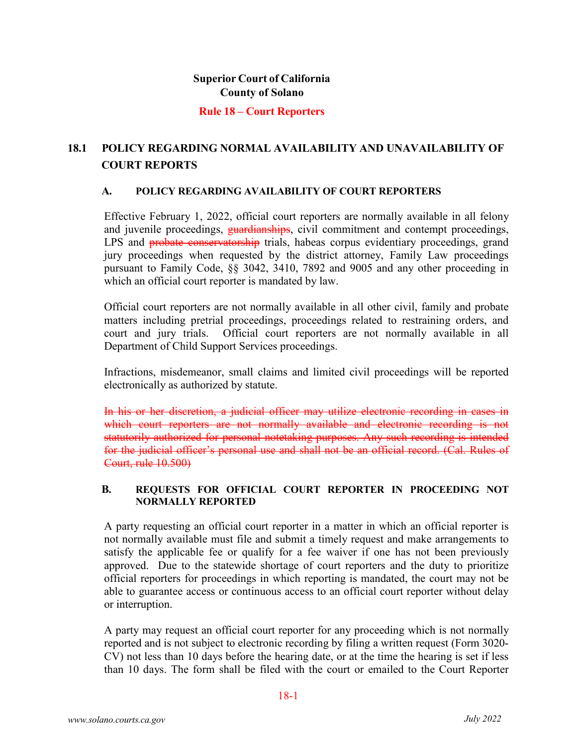#### **Rule 18 – Court Reporters**

# **18.1 POLICY REGARDING NORMAL AVAILABILITY AND UNAVAILABILITY OF COURT REPORTS**

#### **A. POLICY REGARDING AVAILABILITY OF COURT REPORTERS**

Effective February 1, 2022, official court reporters are normally available in all felony and juvenile proceedings, guardianships, civil commitment and contempt proceedings, LPS and **probate conservatorship** trials, habeas corpus evidentiary proceedings, grand jury proceedings when requested by the district attorney, Family Law proceedings pursuant to Family Code, §§ 3042, 3410, 7892 and 9005 and any other proceeding in which an official court reporter is mandated by law.

Official court reporters are not normally available in all other civil, family and probate matters including pretrial proceedings, proceedings related to restraining orders, and court and jury trials. Official court reporters are not normally available in all Department of Child Support Services proceedings.

Infractions, misdemeanor, small claims and limited civil proceedings will be reported electronically as authorized by statute.

In his or her discretion, a judicial officer may utilize electronic recording in cases in which court reporters are not normally available and electronic recording is not statutorily authorized for personal notetaking purposes. Any such recording is intended for the judicial officer's personal use and shall not be an official record. (Cal. Rules of Court, rule 10.500)

### **B. REQUESTS FOR OFFICIAL COURT REPORTER IN PROCEEDING NOT NORMALLY REPORTED**

A party requesting an official court reporter in a matter in which an official reporter is not normally available must file and submit a timely request and make arrangements to satisfy the applicable fee or qualify for a fee waiver if one has not been previously approved. Due to the statewide shortage of court reporters and the duty to prioritize official reporters for proceedings in which reporting is mandated, the court may not be able to guarantee access or continuous access to an official court reporter without delay or interruption.

A party may request an official court reporter for any proceeding which is not normally reported and is not subject to electronic recording by filing a written request (Form 3020- CV) not less than 10 days before the hearing date, or at the time the hearing is set if less than 10 days. The form shall be filed with the court or emailed to the Court Reporter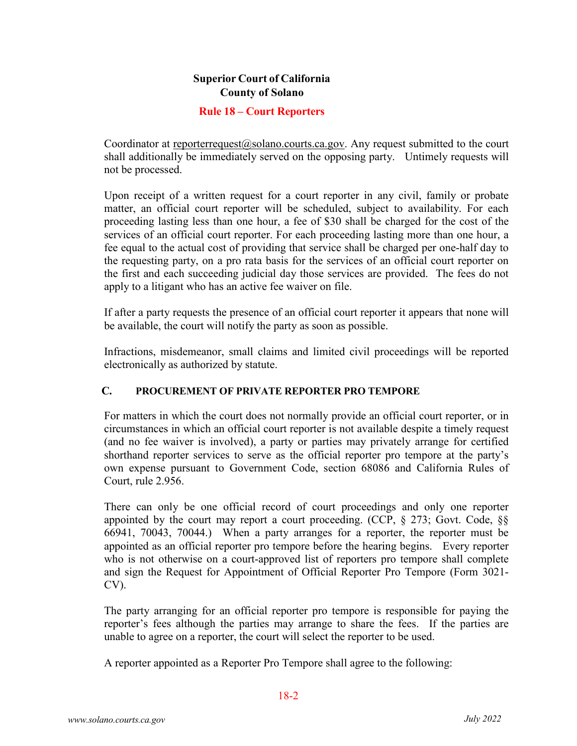### **Rule 18 – Court Reporters**

Coordinator at reporterrequest $(Q$ solano.courts.ca.gov. Any request submitted to the court shall additionally be immediately served on the opposing party. Untimely requests will not be processed.

Upon receipt of a written request for a court reporter in any civil, family or probate matter, an official court reporter will be scheduled, subject to availability. For each proceeding lasting less than one hour, a fee of \$30 shall be charged for the cost of the services of an official court reporter. For each proceeding lasting more than one hour, a fee equal to the actual cost of providing that service shall be charged per one-half day to the requesting party, on a pro rata basis for the services of an official court reporter on the first and each succeeding judicial day those services are provided. The fees do not apply to a litigant who has an active fee waiver on file.

If after a party requests the presence of an official court reporter it appears that none will be available, the court will notify the party as soon as possible.

Infractions, misdemeanor, small claims and limited civil proceedings will be reported electronically as authorized by statute.

### **C. PROCUREMENT OF PRIVATE REPORTER PRO TEMPORE**

For matters in which the court does not normally provide an official court reporter, or in circumstances in which an official court reporter is not available despite a timely request (and no fee waiver is involved), a party or parties may privately arrange for certified shorthand reporter services to serve as the official reporter pro tempore at the party's own expense pursuant to Government Code, section 68086 and California Rules of Court, rule 2.956.

There can only be one official record of court proceedings and only one reporter appointed by the court may report a court proceeding. (CCP, § 273; Govt. Code, §§ 66941, 70043, 70044.) When a party arranges for a reporter, the reporter must be appointed as an official reporter pro tempore before the hearing begins. Every reporter who is not otherwise on a court-approved list of reporters pro tempore shall complete and sign the Request for Appointment of Official Reporter Pro Tempore (Form 3021- CV).

The party arranging for an official reporter pro tempore is responsible for paying the reporter's fees although the parties may arrange to share the fees. If the parties are unable to agree on a reporter, the court will select the reporter to be used.

A reporter appointed as a Reporter Pro Tempore shall agree to the following: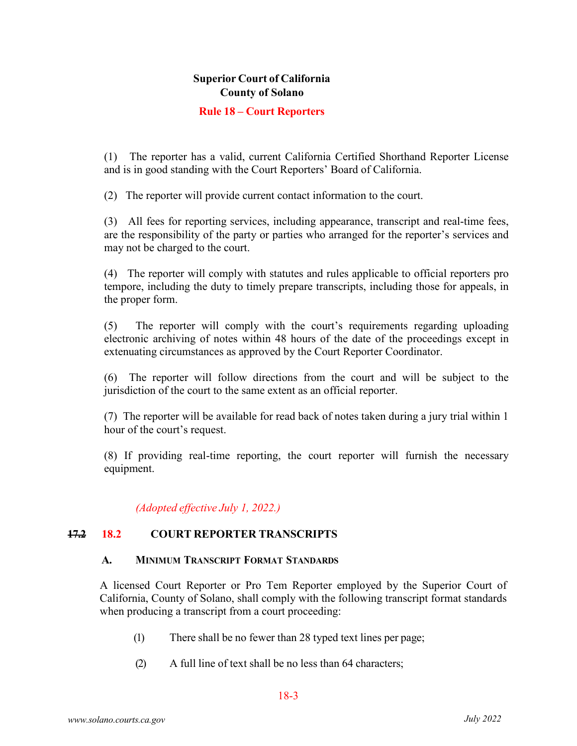### **Rule 18 – Court Reporters**

(1) The reporter has a valid, current California Certified Shorthand Reporter License and is in good standing with the Court Reporters' Board of California.

(2) The reporter will provide current contact information to the court.

(3) All fees for reporting services, including appearance, transcript and real-time fees, are the responsibility of the party or parties who arranged for the reporter's services and may not be charged to the court.

(4) The reporter will comply with statutes and rules applicable to official reporters pro tempore, including the duty to timely prepare transcripts, including those for appeals, in the proper form.

(5) The reporter will comply with the court's requirements regarding uploading electronic archiving of notes within 48 hours of the date of the proceedings except in extenuating circumstances as approved by the Court Reporter Coordinator.

(6) The reporter will follow directions from the court and will be subject to the jurisdiction of the court to the same extent as an official reporter.

(7) The reporter will be available for read back of notes taken during a jury trial within 1 hour of the court's request.

(8) If providing real-time reporting, the court reporter will furnish the necessary equipment.

*(Adopted effective July 1, 2022.)*

### **17.2 18.2 COURT REPORTER TRANSCRIPTS**

#### **A. MINIMUM TRANSCRIPT FORMAT STANDARDS**

A licensed Court Reporter or Pro Tem Reporter employed by the Superior Court of California, County of Solano, shall comply with the following transcript format standards when producing a transcript from a court proceeding:

- (1) There shall be no fewer than 28 typed text lines per page;
- (2) A full line of text shall be no less than 64 characters;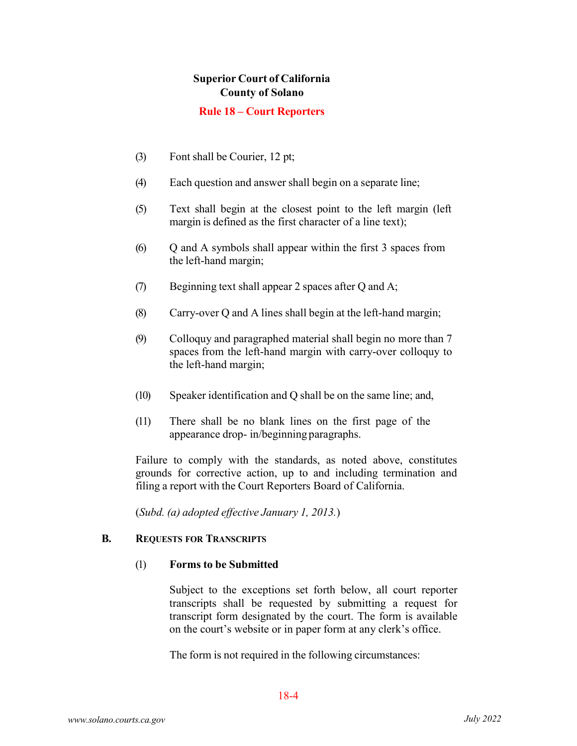### **Rule 18 – Court Reporters**

- (3) Font shall be Courier, 12 pt;
- (4) Each question and answer shall begin on a separate line;
- (5) Text shall begin at the closest point to the left margin (left margin is defined as the first character of a line text);
- (6) Q and A symbols shall appear within the first 3 spaces from the left-hand margin;
- (7) Beginning text shall appear 2 spaces after Q and A;
- (8) Carry-over Q and A lines shall begin at the left-hand margin;
- (9) Colloquy and paragraphed material shall begin no more than 7 spaces from the left-hand margin with carry-over colloquy to the left-hand margin;
- (10) Speaker identification and Q shall be on the same line; and,
- (11) There shall be no blank lines on the first page of the appearance drop- in/beginning paragraphs.

Failure to comply with the standards, as noted above, constitutes grounds for corrective action, up to and including termination and filing a report with the Court Reporters Board of California.

(*Subd. (a) adopted effective January 1, 2013.*)

### **B. REQUESTS FOR TRANSCRIPTS**

#### (1) **Forms to be Submitted**

Subject to the exceptions set forth below, all court reporter transcripts shall be requested by submitting a request for transcript form designated by the court. The form is available on the court's website or in paper form at any clerk's office.

The form is not required in the following circumstances: